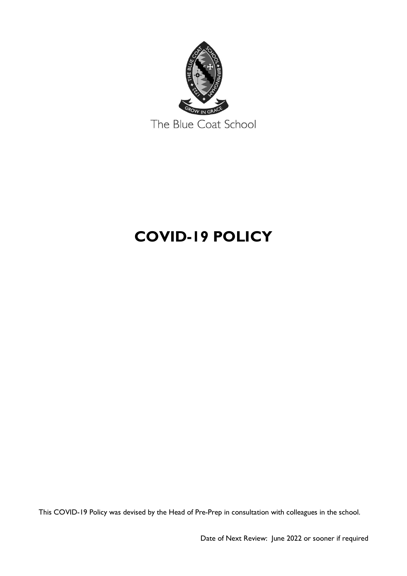

# **COVID-19 POLICY**

This COVID-19 Policy was devised by the Head of Pre-Prep in consultation with colleagues in the school.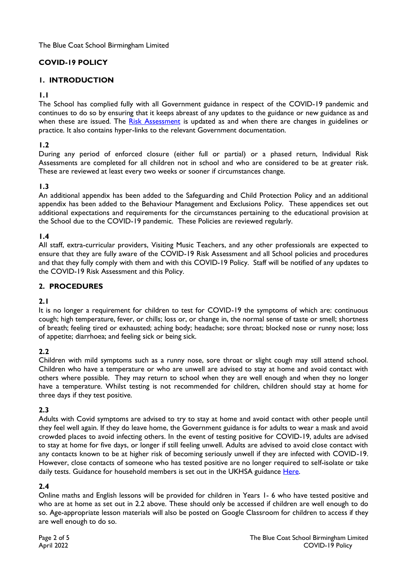The Blue Coat School Birmingham Limited

# **COVID-19 POLICY**

## **1. INTRODUCTION**

#### **1.1**

The School has complied fully with all Government guidance in respect of the COVID-19 pandemic and continues to do so by ensuring that it keeps abreast of any updates to the guidance or new guidance as and when these are issued. The [Risk Assessment](https://docs.google.com/spreadsheets/d/1wkL9mhmOkVUraKKFv_9nhA_0HlG6ffDhpvBlRxDkoqE/edit#gid=1738073634) is updated as and when there are changes in guidelines or practice. It also contains hyper-links to the relevant Government documentation.

#### **1.2**

During any period of enforced closure (either full or partial) or a phased return, Individual Risk Assessments are completed for all children not in school and who are considered to be at greater risk. These are reviewed at least every two weeks or sooner if circumstances change.

#### **1.3**

An additional appendix has been added to the Safeguarding and Child Protection Policy and an additional appendix has been added to the Behaviour Management and Exclusions Policy. These appendices set out additional expectations and requirements for the circumstances pertaining to the educational provision at the School due to the COVID-19 pandemic. These Policies are reviewed regularly.

#### **1.4**

All staff, extra-curricular providers, Visiting Music Teachers, and any other professionals are expected to ensure that they are fully aware of the COVID-19 Risk Assessment and all School policies and procedures and that they fully comply with them and with this COVID-19 Policy. Staff will be notified of any updates to the COVID-19 Risk Assessment and this Policy.

#### **2. PROCEDURES**

#### **2.1**

It is no longer a requirement for children to test for COVID-19 the symptoms of which are: continuous cough; high temperature, fever, or chills; loss or, or change in, the normal sense of taste or smell; shortness of breath; feeling tired or exhausted; aching body; headache; sore throat; blocked nose or runny nose; loss of appetite; diarrhoea; and feeling sick or being sick.

#### **2.2**

Children with mild symptoms such as a runny nose, sore throat or slight cough may still attend school. Children who have a temperature or who are unwell are advised to stay at home and avoid contact with others where possible. They may return to school when they are well enough and when they no longer have a temperature. Whilst testing is not recommended for children, children should stay at home for three days if they test positive.

#### **2.3**

Adults with Covid symptoms are advised to try to stay at home and avoid contact with other people until they feel well again. If they do leave home, the Government guidance is for adults to wear a mask and avoid crowded places to avoid infecting others. In the event of testing positive for COVID-19, adults are advised to stay at home for five days, or longer if still feeling unwell. Adults are advised to avoid close contact with any contacts known to be at higher risk of becoming seriously unwell if they are infected with COVID-19. However, close contacts of someone who has tested positive are no longer required to self-isolate or take daily tests. Guidance for household members is set out in the UKHSA guidance [Here.](https://www.gov.uk/guidance/people-with-symptoms-of-a-respiratory-infection-including-covid-19)

#### **2.4**

Online maths and English lessons will be provided for children in Years 1- 6 who have tested positive and who are at home as set out in 2.2 above. These should only be accessed if children are well enough to do so. Age-appropriate lesson materials will also be posted on Google Classroom for children to access if they are well enough to do so.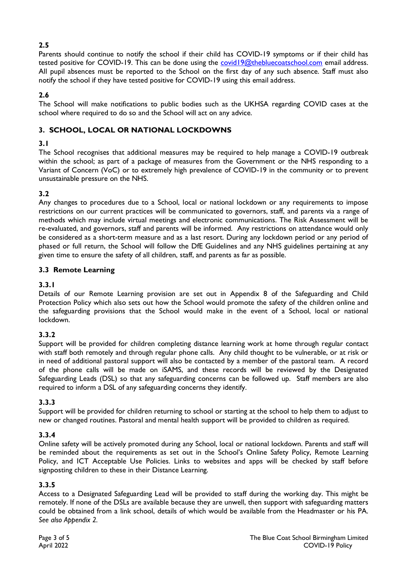## **2.5**

Parents should continue to notify the school if their child has COVID-19 symptoms or if their child has tested positive for COVID-19. This can be done using the [covid19@thebluecoatschool.com](mailto:covid19@thebluecoatschool.com) email address. All pupil absences must be reported to the School on the first day of any such absence. Staff must also notify the school if they have tested positive for COVID-19 using this email address.

## **2.6**

The School will make notifications to public bodies such as the UKHSA regarding COVID cases at the school where required to do so and the School will act on any advice.

## **3. SCHOOL, LOCAL OR NATIONAL LOCKDOWNS**

## **3.1**

The School recognises that additional measures may be required to help manage a COVID-19 outbreak within the school; as part of a package of measures from the Government or the NHS responding to a Variant of Concern (VoC) or to extremely high prevalence of COVID-19 in the community or to prevent unsustainable pressure on the NHS.

# **3.2**

Any changes to procedures due to a School, local or national lockdown or any requirements to impose restrictions on our current practices will be communicated to governors, staff, and parents via a range of methods which may include virtual meetings and electronic communications. The Risk Assessment will be re-evaluated, and governors, staff and parents will be informed. Any restrictions on attendance would only be considered as a short-term measure and as a last resort. During any lockdown period or any period of phased or full return, the School will follow the DfE Guidelines and any NHS guidelines pertaining at any given time to ensure the safety of all children, staff, and parents as far as possible.

#### **3.3 Remote Learning**

## **3.3.1**

Details of our Remote Learning provision are set out in Appendix 8 of the Safeguarding and Child Protection Policy which also sets out how the School would promote the safety of the children online and the safeguarding provisions that the School would make in the event of a School, local or national lockdown.

## **3.3.2**

Support will be provided for children completing distance learning work at home through regular contact with staff both remotely and through regular phone calls. Any child thought to be vulnerable, or at risk or in need of additional pastoral support will also be contacted by a member of the pastoral team. A record of the phone calls will be made on iSAMS, and these records will be reviewed by the Designated Safeguarding Leads (DSL) so that any safeguarding concerns can be followed up. Staff members are also required to inform a DSL of any safeguarding concerns they identify.

## **3.3.3**

Support will be provided for children returning to school or starting at the school to help them to adjust to new or changed routines. Pastoral and mental health support will be provided to children as required.

#### **3.3.4**

Online safety will be actively promoted during any School, local or national lockdown. Parents and staff will be reminded about the requirements as set out in the School's Online Safety Policy, Remote Learning Policy, and ICT Acceptable Use Policies. Links to websites and apps will be checked by staff before signposting children to these in their Distance Learning.

#### **3.3.5**

Access to a Designated Safeguarding Lead will be provided to staff during the working day. This might be remotely. If none of the DSLs are available because they are unwell, then support with safeguarding matters could be obtained from a link school, details of which would be available from the Headmaster or his PA. *See also Appendix 2.*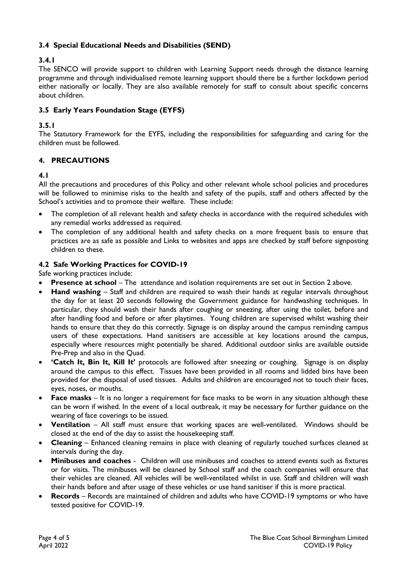## **3.4 Special Educational Needs and Disabilities (SEND)**

# **3.4.1**

The SENCO will provide support to children with Learning Support needs through the distance learning programme and through individualised remote learning support should there be a further lockdown period either nationally or locally. They are also available remotely for staff to consult about specific concerns about children.

# **3.5 Early Years Foundation Stage (EYFS)**

# **3.5.1**

The Statutory Framework for the EYFS, including the responsibilities for safeguarding and caring for the children must be followed.

# **4. PRECAUTIONS**

## **4.1**

All the precautions and procedures of this Policy and other relevant whole school policies and procedures will be followed to minimise risks to the health and safety of the pupils, staff and others affected by the School's activities and to promote their welfare. These include:

- The completion of all relevant health and safety checks in accordance with the required schedules with any remedial works addressed as required.
- The completion of any additional health and safety checks on a more frequent basis to ensure that practices are as safe as possible and Links to websites and apps are checked by staff before signposting children to these.

#### **4.2 Safe Working Practices for COVID-19**

#### Safe working practices include:

- **Presence at school** The attendance and isolation requirements are set out in Section 2 above.
- **Hand washing** Staff and children are required to wash their hands at regular intervals throughout the day for at least 20 seconds following the Government guidance for handwashing techniques. In particular, they should wash their hands after coughing or sneezing, after using the toilet, before and after handling food and before or after playtimes. Young children are supervised whilst washing their hands to ensure that they do this correctly. Signage is on display around the campus reminding campus users of these expectations. Hand sanitisers are accessible at key locations around the campus, especially where resources might potentially be shared. Additional outdoor sinks are available outside Pre-Prep and also in the Quad.
- **'Catch It, Bin It, Kill It'** protocols are followed after sneezing or coughing. Signage is on display around the campus to this effect. Tissues have been provided in all rooms and lidded bins have been provided for the disposal of used tissues. Adults and children are encouraged not to touch their faces, eyes, noses, or mouths.
- **Face masks** It is no longer a requirement for face masks to be worn in any situation although these can be worn if wished. In the event of a local outbreak, it may be necessary for further guidance on the wearing of face coverings to be issued.
- **Ventilation**  All staff must ensure that working spaces are well-ventilated. Windows should be closed at the end of the day to assist the housekeeping staff.
- **Cleaning** Enhanced cleaning remains in place with cleaning of regularly touched surfaces cleaned at intervals during the day.
- **Minibuses and coaches** Children will use minibuses and coaches to attend events such as fixtures or for visits. The minibuses will be cleaned by School staff and the coach companies will ensure that their vehicles are cleaned. All vehicles will be well-ventilated whilst in use. Staff and children will wash their hands before and after usage of these vehicles or use hand sanitiser if this is more practical.
- **Records** Records are maintained of children and adults who have COVID-19 symptoms or who have tested positive for COVID-19.